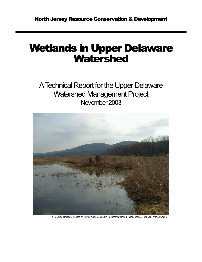# Wetlands in Upper Delaware **Watershed**

A Technical Report for the Upper Delaware Watershed Management Project November 2003



• Restored emergent wetland on former muck cropland in Pequest Watershed, Independence Township, Warren County.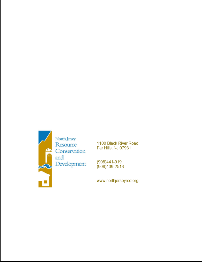

1100 Black River Road Far Hills, NJ 07931

(908)441-9191 (908) 439-2518

www.northjerseyrcd.org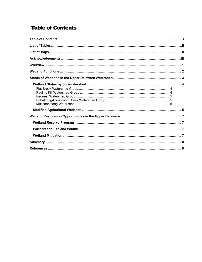# **Table of Contents**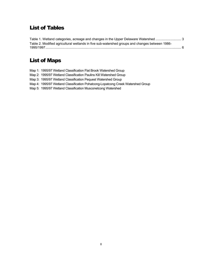# List of Tables

| Table 1. Wetland categories, acreage and changes in the Upper Delaware Watershed 3             |  |
|------------------------------------------------------------------------------------------------|--|
| Table 2. Modified agricultural wetlands in five sub-watershed groups and changes between 1986- |  |
|                                                                                                |  |

# List of Maps

|  | Map 1: 1995/97 Wetland Classification Flat Brook Watershed Group                |
|--|---------------------------------------------------------------------------------|
|  | Map 2: 1995/97 Wetland Classification Paulins Kill Watershed Group              |
|  | Map 3: 1995/97 Wetland Classification Pequest Watershed Group                   |
|  | Map 4: 1995/97 Wetland Classification Pohatcong-Lopatcong Creek Watershed Group |
|  | Map 5: 1995/97 Wetland Classification Musconetcong Watershed                    |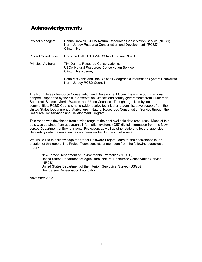# Acknowledgements

| Project Manager:            | Donna Drewes, USDA-Natural Resources Conservation Service (NRCS)<br>North Jersey Resource Conservation and Development (RC&D)<br>Clinton, NJ |
|-----------------------------|----------------------------------------------------------------------------------------------------------------------------------------------|
| <b>Project Coordinator:</b> | Christine Hall, USDA-NRCS North Jersey RC&D                                                                                                  |
| <b>Principal Authors:</b>   | Tim Dunne, Resource Conservationist<br>USDA Natural Resources Conservation Service<br>Clinton, New Jersey                                    |
|                             | Sean McGinnis and Bob Blaisdell Geographic Information System Specialists<br>North Jersey RC&D Council                                       |

The North Jersey Resource Conservation and Development Council is a six-county regional nonprofit supported by the Soil Conservation Districts and county governments from Hunterdon, Somerset, Sussex, Morris, Warren, and Union Counties. Though organized by local communities, RC&D Councils nationwide receive technical and administrative support from the United States Department of Agriculture – Natural Resources Conservation Service through the Resource Conservation and Development Program.

This report was developed from a wide range of the best available data resources. Much of this data was obtained from geographic information systems (GIS) digital information from the New Jersey Department of Environmental Protection, as well as other state and federal agencies. Secondary data presentation has not been verified by the initial source.

We would like to acknowledge the Upper Delaware Project Team for their assistance in the creation of this report. The Project Team consists of members from the following agencies or groups:

New Jersey Department of Environmental Protection (NJDEP) United States Department of Agriculture, Natural Resources Conservation Service (NRCS) United States Department of the Interior, Geological Survey (USGS) New Jersey Conservation Foundation

November 2003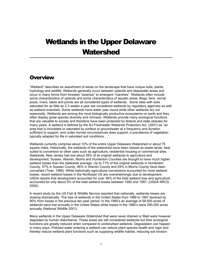# Wetlands in the Upper Delaware **Watershed**

### **Overview**

"Wetland" describes an assortment of areas on the landscape that have unique soils, plants, hydrology and wildlife. Wetlands generally occur between uplands and deepwater areas and occur in many forms from forested "swamps" to emergent "marshes". Wetlands often include some characteristics of uplands and some characteristics of aquatic areas. Bogs, fens, vernal pools, rivers, lakes and ponds are all considered types of wetlands. Some sites with soils saturated for as little as 2-3 weeks a year are considered wetlands by regulatory agencies as well as wetland scientists. Some wetlands have water year round while other wetlands dry out seasonally. Wetlands are among the most biologically productive ecosystems on earth and they often display great species diversity and richness. Wetlands provide many ecological functions that are valuable to society and therefore have been protected by federal and state statutes for many years. A wetland is defined by the NJ Freshwater Wetlands Protection Act (2001) as "an area that is inundated or saturated by surface or groundwater at a frequency and duration sufficient to support, and under normal circumstances does support, a prevalence of vegetation typically adapted for life in saturated soil conditions….".

Wetlands currently comprise about 10% of the entire Upper Delaware Watershed or about 75 square miles. Historically, the wetlands of the watershed have been viewed as waste lands, best suited to conversion to other uses such as agriculture, residential housing or commercial sites. Statewide, New Jersey has lost about 39% of its original wetlands to agriculture and development. Sussex, Warren, Morris and Hunterdon Counties are thought to have much higher wetland losses than the statewide average. Up to 71% of the original wetlands in Hunterdon County, 57% in Sussex County, 46% in Warren County and 29% in Morris County have been converted (Tiner, 1985). While historically agricultural conversions accounted for most wetland losses, recent wetland losses in the Northeast US are overwhelmingly due to development. USDA reports that development accounted for over 38% of the total wetland loss and agriculture accounted for only about 5% of the total wetland losses between 1992 and 1997. (USDA NRCS 2000).

A recent study by the US Fish & Wildlife Service reported that nationally, wetlands losses are slowing dramatically. The loss of wetlands in the United States from 1986 to 1997 declined by 80% from losses in the previous ten-year period. In the 1990's an average of 58,500 acres of wetlands were lost annually in the United States while losses in the 1980's were 290,000 acres annually (National Wildlife 2001).

Many wetlands in the Upper Delaware Watershed that were never drained or filled were however degraded by human disturbance. These areas are still considered wetlands but their ecological functions are greatly reduced when compared to undisturbed wetlands. Degradation can happen in many ways. Polluted water entering a wetland can reduce plant species health and vigor and thereby reduce wetland plant functions such as supplying wildlife habitat, reducing soil erosion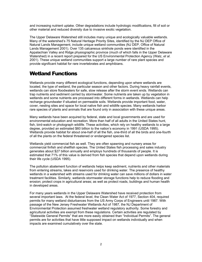and increasing nutrient uptake. Other degradations include hydrologic modifications, fill of soil or other material and reduced diversity due to invasive exotic vegetation.

The Upper Delaware Watershed still includes many unique and ecologically valuable wetlands. Many of the watershed's 75 Natural Heritage Priority Sites, identified by the NJ DEP Office of Natural Lands Management, include unique wetland communities (NJ DEP, Office of Natural Lands Management 2001). Over 135 calcareous sinkhole ponds were identified in the Appalachian Valley and Ridge physiographic province (much of which falls in the Upper Delaware Watershed) in a recent report prepared for the US Environmental Protection Agency (Walz, *et al*. 2001). These unique wetland communities support a large number of rare plant species and provide significant habitat for rare invertebrates and amphibians.

# Wetland Functions

Wetlands provide many different ecological functions, depending upon where wetlands are located, the type of wetland, the particular season and other factors. During heavy rainfall events, wetlands can store floodwaters for safe, slow release after the storm event ends. Wetlands can trap nutrients and sediment carried by stormwater. Some nutrients are taken up by vegetation in wetlands and some nutrients are processed into different forms in wetlands. Wetlands can help recharge groundwater if situated on permeable soils. Wetlands provide important food, water, cover, nesting sites and space for local native fish and wildlife species. Many wetlands harbor rare species of plants and animals that are found only in association with these unique areas.

Many wetlands have been acquired by federal, state and local governments and are used for environmental education and recreation. More than half of all adults in the United States hunt, fish, bird-watch or photograph wildlife. These activities, which rely on healthy wetlands to a large degree, provided an estimated \$60 billion to the nation's economy in 1991 (USDA 1995). Wetlands provide habitat for about one-half of all the fish, one-third of all the birds and one-fourth of all the plants on the federal threatened or endangered species list.

Wetlands yield commercial fish as well. They are often spawning and nursery areas for commercial finfish and shellfish species. The United States fish processing and sales industry generates about \$27 billion annually and employs hundreds of thousands of people. It is estimated that 71% of this value is derived from fish species that depend upon wetlands during their life cycle (USDA 1995).

The pollution abatement function of wetlands helps keep sediment, nutrients and other materials from entering streams, lakes and reservoirs used for drinking water. The presence of healthy wetlands in a watershed with streams used for drinking water can save millions of dollars in water treatment facilities. Similarly, wetlands stormwater storage functions help to reduce flooding and erosion; protect crops in agricultural areas; as well as protect roads, buildings and human health in developed areas.

For many years wetlands in the Upper Delaware Watershed have received protection from several important laws. At the federal level, the Clean Water Act of 1977, Section 404, required permits for many wetland disturbances from the US Army Corps of Engineers until 1987. With passage of the New Jersey Freshwater Wetlands Act of 1987, the NJ Department of Environmental Protection assumed freshwater wetland regulatory authority. Some forestry and agricultural activities are exempt from these regulations. Certain activities are regulated by "Statewide General Permits" that are more easily obtained than "Individual Permits". The general permits are for activities that have little supposed impact on wetlands individually and when impacts are examined cumulatively over the state.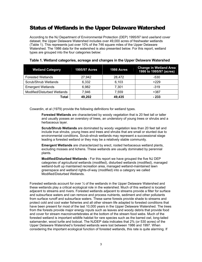# Status of Wetlands in the Upper Delaware Watershed

According to the NJ Department of Environmental Protection (DEP) 1995/97 land use/land cover dataset, the Upper Delaware Watershed includes over 49,000 acres of freshwater wetlands (Table 1). This represents just over 10% of the 746 square miles of the Upper Delaware Watershed. The 1986 data for the watershed is also presented below. For this report, wetland types are grouped into the four categories below:

| <b>Wetland Category</b>     | <b>1995/97 Acres</b> | <b>1986 Acres</b> | <b>Change in Wetland Area</b><br>1986 to 1995/97 (acres) |
|-----------------------------|----------------------|-------------------|----------------------------------------------------------|
| <b>Forested Wetlands</b>    | 27.942               | 28,472            | $-530$                                                   |
| Scrub/Shrub Wetlands        | 6,332                | 6,103             | $+229$                                                   |
| <b>Emergent Wetlands</b>    | 6,982                | 7.301             | $-319$                                                   |
| Modified/Disturbed Wetlands | 7.946                | 7.559             | +387                                                     |
| Total                       | 49,202               | 49,435            | $-233$                                                   |

#### **Table 1. Wetland categories, acreage and changes in the Upper Delaware Watershed**

Cowardin, et al (1979) provide the following definitions for wetland types.

**Forested Wetlands** are characterized by woody vegetation that is 20 feet tall or taller and usually posses an overstory of trees, an understory of young trees or shrubs and a herbaceous layer.

**Scrub/Shrub Wetlands** are dominated by woody vegetation less than 20 feet tall and include true shrubs, young trees and trees and shrubs that are small or stunted due to environmental conditions. Scrub-shrub wetlands may represent a successional stage leading a forested wetland or they may be a relatively stable community.

**Emergent Wetlands** are characterized by erect, rooted herbaceous wetland plants, excluding mosses and lichens. These wetlands are usually dominated by perennial plants.

**Modified/Disturbed Wetlands** - For this report we have grouped the five NJ DEP categories of agricultural wetlands (modified), disturbed wetlands (modified), managed wetland-built up maintained recreation area, managed wetland-maintained lawn greenspace and wetland rights-of-way (modified) into a category we called Modified/Disturbed Wetlands.

Forested wetlands account for over  $\frac{1}{2}$  of the wetlands in the Upper Delaware Watershed and these wetlands play a critical ecological role in the watershed. Much of this wetland is located adjacent to streams and rivers. Forested wetlands adjacent to streams provide a filter for surface and subsurface waters and can remove and process nutrients, sediment and other pollutants from surface runoff and subsurface waters. These same forests provide shade to streams and protect cold and cool water fisheries and all other stream life adapted to forested conditions that have been present for most of the last 10,000 years in the Upper Delaware Watershed. The trees from the forests provide major energy inputs such as leaves and woody debris that provide food and cover for stream macroinvertebrates at the bottom of the stream food webs. Much of the forested wetland is important wildlife habitat for rare species such as the barred owl, long-tailed salamander, wood turtle and bobcat. The NJDEP data indicates that 2% (or 530 acres) of the Upper Delaware Watershed's forested wetlands were lost between 1986 and 1997. When considering the important ecological function of forested wetlands, this rate is quite alarming. If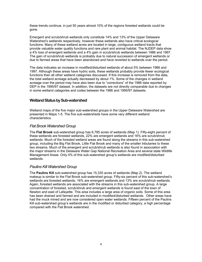these trends continue, in just 50 years almost 10% of the regions forested wetlands could be gone.

Emergent and scrub/shrub wetlands only constitute 14% and 13% of the Upper Delaware Watershed's wetlands respectively, however these wetlands also have critical ecological functions. Many of these wetland acres are located in large, contiguous wetland tracts that provide valuable water quality functions and rare plant and animal habitat. The NJDEP data show a 4% loss of emergent wetlands and a 4% gain in scrub/shrub wetlands between 1986 and 1997. The gain of scrub/shrub wetlands is probably due to natural succession of emergent wetlands or due to farmed areas that have been abandoned and have reverted to wetlands over the period.

The data indicates an increase in modified/disturbed wetlands of about 5% between 1986 and 1997. Although these areas have hydric soils, these wetlands probably provide fewer ecological functions than all other wetland categories discussed. If this increase is removed from the data, the total wetland acreage actually decreased by about 1%. Some of the changes in wetland acreage over the period may have also been due to "corrections" of the 1986 data reported by DEP in the 1995/97 dataset. In addition, the datasets are not directly comparable due to changes in some wetland categories and codes between the 1986 and 1995/97 datasets.

#### **Wetland Status by Sub-watershed**

Wetland maps of the five major sub-watershed groups in the Upper Delaware Watershed are presented in Maps 1-5. The five sub-watersheds have some very different wetland characteristics.

#### *Flat Brook Watershed Group*

The **Flat Brook** sub-watershed group has 6,785 acres of wetlands (Map 1). Fifty-eight percent of these wetlands are forested wetlands, 22% are emergent wetlands and 16% are scrub/shrub wetlands. Much of the forested wetland areas are found along the streams in this sub-watershed group, including the Big Flat Brook, Little Flat Brook and many of the smaller tributaries to these two streams. Much of the emergent and scrub/shrub wetlands is also found in association with the major streams in the Delaware Water Gap National Recreation Area and several state Wildlife Management Areas. Only 4% of this sub-watershed group's wetlands are modified/disturbed wetlands.

#### *Paulins Kill Watershed Group*

The **Paulins Kill** sub-watershed group has 15,330 acres of wetlands (Map 2). The wetland makeup is similar to the Flat Brook sub-watershed group. Fifty-six percent of this sub-watershed's wetlands are forested wetlands, 16% are emergent wetlands and 13% are scrub/shrub wetlands. Again, forested wetlands are associated with the streams in this sub-watershed group. A large concentration of forested, scrub/shrub and emergent wetlands is found east of the town of Newton and east of Lafayette. This area includes a large area of organic soils. Some of this area has been drained and farmed and are included in modified/disturbed wetlands. Other areas have had the muck mined and are now considered open water wetlands. Fifteen percent of the Paulins Kill sub-watershed group's wetlands are in the modified or disturbed category, a high percentage compared with the Flat Brook watershed.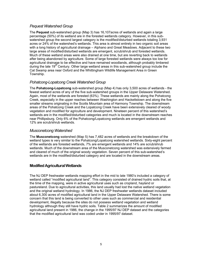#### *Pequest Watershed Group*

The **Pequest** sub-watershed group (Map 3) has 16,107acres of wetlands and again a large percentage (50%) of its wetland are in the forested wetlands category. However, in this subwatershed group the second largest category is the modified/disturbed wetlands totaling 3,931 acres or 24% of the watershed's wetlands. This area is almost entirely in two organic soil areas with a long history of agricultural drainage – Alphano and Great Meadows. Adjacent to these two large areas of modified/disturbed wetlands are emergent, scrub/shrub and forested wetlands. Much of these wetland areas were also drained at one time, but are reverting back to wetlands after being abandoned by agriculture. Some of large forested wetlands were always too low for agricultural drainage to be effective and have remained woodlands, although probably timbered during the late 19<sup>th</sup> Century. Other large wetland areas in this sub-watershed group include the Cat Swamp area near Oxford and the Whittingham Wildlife Management Area in Green Township.

#### *Pohatcong-Lopatcong Creek Watershed Group*

The **Pohatcong-Lopatcong** sub-watershed group (Map 4) has only 3,500 acres of wetlands - the fewest wetland acres of any of the five sub-watershed groups in the Upper Delaware Watershed. Again, most of the wetlands are forested (63%). These wetlands are mainly along the Pohatcong Creek, especially in the upper reaches between Washington and Hackettstown and along the five smaller streams originating in the Scotts Mountain area of Harmony Township. The downstream areas of the Pohatcong Creek and the Lopatcong Creek have been extensively cleared of woody vegetation and modified for agriculture and development. Nineteen percent of this watershed's wetlands are in the modified/disturbed categories and much is located in the downstream reaches near Phillipsburg. Only 6% of the Pohatcong/Lopatcong wetlands are emergent wetlands and 12% are scrub/shrub wetlands.

#### *Musconetcong Watershed*

The **Musconetcong** watershed (Map 5) has 7,482 acres of wetlands and the breakdown of the wetland types is very similar to the Pohatcong/Lopatcong watershed wetlands. Sixty-eight percent of the wetlands are forested wetlands, 7% are emergent wetlands and 14% are scrub/shrub wetlands. Much of the downstream area of the Musconetcong watershed was extensively farmed and cleared of much of the original woody vegetation. Seven percent of this sub-watershed's wetlands are in the modified/disturbed category and are located in the downstream areas.

#### **Modified Agricultural Wetlands**

The NJ DEP freshwater wetlands mapping effort in the mid to late 1980's included a category of wetland called "modified agricultural land". This category consisted of drained hydric soils that, at the time of the mapping, were in active agricultural uses such as cropland, hayland or pastureland. Due to agricultural activities, this land usually had lost the native wetland vegetation and the original wetland hydrology. In 1986, the NJ DEP freshwater wetlands dataset included about 6,300 acres of modified agricultural land in the Upper Delaware Watershed. There is some concern that this land is being converted to other uses such as commercial and residential development, illegally because the sites do not possess wetland vegetation and wetland hydrology although they still have hydric soils. Table 2 summarizes the amount of modified agricultural land present in 1986, the change in the 1995/97 NJ DEP dataset and the categories that the modified agricultural land was coded under in 1995/97 dataset.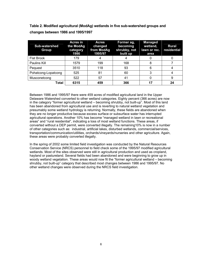**Table 2. Modified agricultural (ModAg) wetlands in five sub-watershed groups and changes between 1986 and 1995/1997** 

| <b>Sub-watershed</b><br>Group | <b>Acres in</b><br>the ModAg<br>category<br>1986 | <b>Acres</b><br>changed<br>from ModAg<br>1995/97 | Former ag,<br>becoming<br>shrubby, not<br>built up | <b>Managed</b><br>wetland,<br>lawn or rec.<br>area | <b>Rural</b><br>residential |
|-------------------------------|--------------------------------------------------|--------------------------------------------------|----------------------------------------------------|----------------------------------------------------|-----------------------------|
| <b>Flat Brook</b>             | 179                                              |                                                  |                                                    |                                                    |                             |
| Paulins Kill                  | 1579                                             | 199                                              | 168                                                |                                                    |                             |
| Pequest                       | 3510                                             | 118                                              | 93                                                 | 6                                                  |                             |
| Pohatcong-Lopatcong           | 525                                              | 81                                               | 60                                                 |                                                    |                             |
| Musconetcong                  | 522                                              | 57                                               | 41                                                 |                                                    | 9                           |
| Total                         | 6315                                             | 459                                              | 366                                                | 17                                                 | 24                          |

Between 1986 and 1995/97 there were 459 acres of modified agricultural land in the Upper Delaware Watershed converted to other wetland categories. Eighty percent (366 acres) are now in the category "former agricultural wetland – becoming shrubby, not built-up". Most of this land has been abandoned from agricultural use and is reverting to natural wetland vegetation and presumably some wetland hydrology is returning. Normally, these fields are abandoned when they are no longer productive because excess surface or subsurface water has interrupted agricultural operations. Another 10% has become "managed wetland in lawn or recreational areas" and "rural residential", indicating a loss of most wetland functions. These areas, if converted without a DEP permit, were converted illegally. The remaining10% is now in a number of other categories such as: industrial, artificial lakes, disturbed wetlands, commercial/services, transportation/communication/utilities, orchards/vineyards/nurseries and other agriculture. Again, these areas were probably converted illegally.

In the spring of 2002 some limited field investigation was conducted by the Natural Resources Conservation Service (NRCS) personnel to field check some of the 1995/97 modified agricultural wetlands. Most of the sites observed were still in agricultural production and used as cropland, hayland or pastureland. Several fields had been abandoned and were beginning to grow up in woody wetland vegetation. These areas would now fit the "former agricultural wetland – becoming shrubby, not built-up" category that described most changes between 1986 and 1995/97. No other wetland changes were observed during the NRCS field investigation.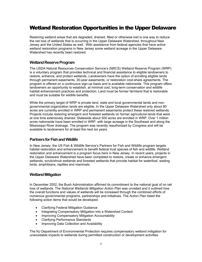# Wetland Restoration Opportunities in the Upper Delaware

Restoring wetland areas that are degraded, drained, filled or otherwise lost is one way to reduce the net loss of wetlands that is occurring in the Upper Delaware Watershed, throughout New Jersey and the United States as well. With assistance from federal agencies that have active wetland restoration programs in New Jersey some wetland acreage in the Upper Delaware Watershed has recently been restored.

#### **Wetland Reserve Program**

The USDA Natural Resources Conservation Service's (NRCS) Wetland Reserve Program (WRP) is a voluntary program that provides technical and financial assistance to eligible landowners to restore, enhance, and protect wetlands. Landowners have the option of enrolling eligible lands through permanent easements, 30-year easements, or restoration cost-share agreements. The program is offered on a continuous sign-up basis and is available nationwide. This program offers landowners an opportunity to establish, at minimal cost, long-term conservation and wildlife habitat enhancement practices and protection. Land must be former farmland that is restorable and must be suitable for wildlife benefits.

While the primary target of WRP is private land, state and local governmental lands and nongovernmental organization lands are eligible. In the Upper Delaware Watershed only about 80 acres are currently enrolled in WRP and permanent easements protect these restored wetlands. Projects include restoring emergent and forested wetlands on former agricultural lands that were at one time extensively drained. Statewide about 500 acres are enrolled in WRP. Over 1 million acres nationwide have been enrolled in WRP, with large acreage in the Southeast and along the Mississippi River drainage. The program was recently reauthorized by Congress and will be available to landowners for at least the next six years.

#### **Partners for Fish and Wildlife**

In New Jersey, the US Fish & Wildlife Service's Partners for Fish and Wildlife program targets habitat restoration and enhancement to benefit federal trust species of fish and wildlife. Wetland restoration and enhancement is a program focus here in New Jersey. In recent years, projects in the Upper Delaware Watershed have been completed to restore, create or enhance emergent wetlands, scrub/shrub wetlands and forested wetlands that provide habitat for waterfowl, wading birds, amphibians, reptiles and mammals.

#### **Wetland Mitigation**

In December 2002, the Bush Administration affirmed its commitment to the national goal of no net loss of wetlands. The *National Wetlands Mitigation Action Plan* was unveiled and it outlined how the overall functions and values of wetlands will be increased through the combined efforts of numerous governmental programs, partnerships and initiatives. The *Action Plan* listed the following action items that would be developed:

- Clarifying Federal Mitigation Guidance
- Integrating Compensatory Mitigation into a Watershed Context
- Improving Compensatory Mitigation Accountability
- Clarifying Performance Standards
- Improving Data Collection and Availability

The NJ Department of Environmental Protection requires compensatory wetland mitigation for unavoidable impacts to wetlands during permitted construction or development activities.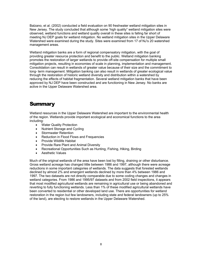Balzano, et al. (2002) conducted a field evaluation on 90 freshwater wetland mitigation sites in New Jersey. The study concluded that although some 'high quality" wetland mitigation sites were observed, wetland functions and wetland quality overall in these sites is falling far short of meeting NJ DEP goals for wetland mitigation. No wetland mitigation sites in the Upper Delaware Watershed were examined during the study. Sites were examined from 17 of NJ's 20 watershed management areas.

Wetland mitigation banks are a form of regional compensatory mitigation, with the goal of providing greater resource protection and benefit to the public. Wetland mitigation banking promotes the restoration of larger wetlands to provide off-site compensation for multiple small mitigation projects, resulting in economies of scale in planning, implementation and management. Consolidation can result in wetlands of greater value because of their size and the commitment to long- term management. Mitigation banking can also result in wetlands of greater ecological value through the restoration of historic wetland diversity and distribution within a watershed by reducing the effects of habitat fragmentation. Several wetland mitigation banks that have been approved by NJ DEP have been constructed and are functioning in New Jersey. No banks are active in the Upper Delaware Watershed area.

### **Summary**

Wetland resources in the Upper Delaware Watershed are important to the environmental health of the region. Wetlands provide important ecological and economical functions to the area including:

- Water Quality Protection
- Nutrient Storage and Cycling
- Stormwater Retention
- Reduction in Flood Flows and Frequencies
- Provide Wildlife Habitat
- Provide Rare Plant and Animal Diversity
- Recreational Opportunities Such as Hunting, Fishing, Hiking, Birding
- Aesthetic Values

Much of the original wetlands of the area have been lost by filling, draining or other disturbance. Gross wetland acreage has changed little between 1986 and 1997, although there were acreage reductions in some important categories of wetlands. The data suggests that forested wetlands declined by almost 2% and emergent wetlands declined by more than 4% between 1986 and 1997. The two datasets are not directly comparable due to some coding changes and changes in wetland categories. From 1986 and 1995/97 datasets and from 2002 field inspections, it appears that most modified agricultural wetlands are remaining in agricultural use or being abandoned and reverting to fully functioning wetlands. Less than 1% of these modified agricultural wetlands have been converted to residential or other developed land use. There are opportunities for wetland restoration in the region but few landowners, including state and federal landowners (up to 25% of the land), are electing to restore wetlands in the Upper Delaware Watershed.